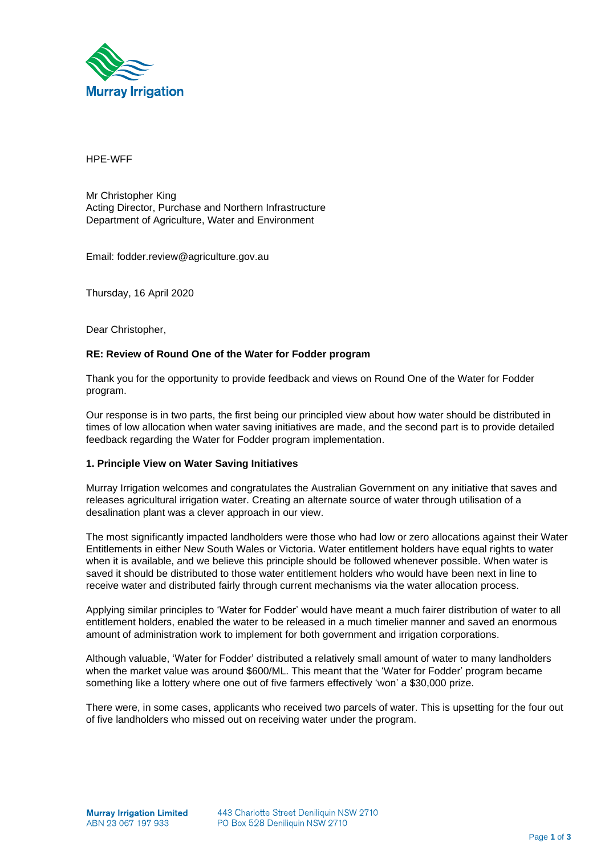

HPE-WFF

Mr Christopher King Acting Director, Purchase and Northern Infrastructure Department of Agriculture, Water and Environment

Email: fodder.review@agriculture.gov.au

Thursday, 16 April 2020

Dear Christopher,

### **RE: Review of Round One of the Water for Fodder program**

Thank you for the opportunity to provide feedback and views on Round One of the Water for Fodder program.

Our response is in two parts, the first being our principled view about how water should be distributed in times of low allocation when water saving initiatives are made, and the second part is to provide detailed feedback regarding the Water for Fodder program implementation.

### **1. Principle View on Water Saving Initiatives**

Murray Irrigation welcomes and congratulates the Australian Government on any initiative that saves and releases agricultural irrigation water. Creating an alternate source of water through utilisation of a desalination plant was a clever approach in our view.

The most significantly impacted landholders were those who had low or zero allocations against their Water Entitlements in either New South Wales or Victoria. Water entitlement holders have equal rights to water when it is available, and we believe this principle should be followed whenever possible. When water is saved it should be distributed to those water entitlement holders who would have been next in line to receive water and distributed fairly through current mechanisms via the water allocation process.

Applying similar principles to 'Water for Fodder' would have meant a much fairer distribution of water to all entitlement holders, enabled the water to be released in a much timelier manner and saved an enormous amount of administration work to implement for both government and irrigation corporations.

Although valuable, 'Water for Fodder' distributed a relatively small amount of water to many landholders when the market value was around \$600/ML. This meant that the 'Water for Fodder' program became something like a lottery where one out of five farmers effectively 'won' a \$30,000 prize.

There were, in some cases, applicants who received two parcels of water. This is upsetting for the four out of five landholders who missed out on receiving water under the program.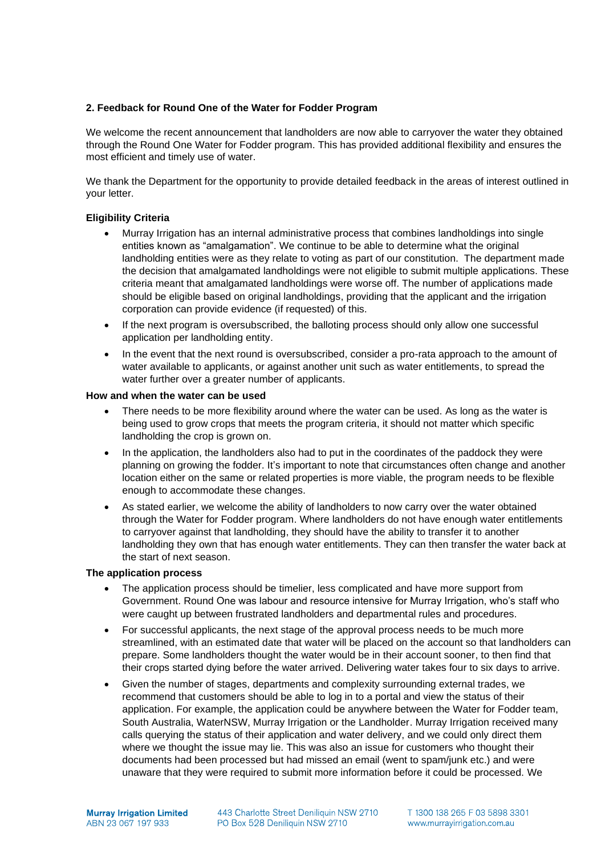# **2. Feedback for Round One of the Water for Fodder Program**

We welcome the recent announcement that landholders are now able to carryover the water they obtained through the Round One Water for Fodder program. This has provided additional flexibility and ensures the most efficient and timely use of water.

We thank the Department for the opportunity to provide detailed feedback in the areas of interest outlined in your letter.

# **Eligibility Criteria**

- Murray Irrigation has an internal administrative process that combines landholdings into single entities known as "amalgamation". We continue to be able to determine what the original landholding entities were as they relate to voting as part of our constitution. The department made the decision that amalgamated landholdings were not eligible to submit multiple applications. These criteria meant that amalgamated landholdings were worse off. The number of applications made should be eligible based on original landholdings, providing that the applicant and the irrigation corporation can provide evidence (if requested) of this.
- If the next program is oversubscribed, the balloting process should only allow one successful application per landholding entity.
- In the event that the next round is oversubscribed, consider a pro-rata approach to the amount of water available to applicants, or against another unit such as water entitlements, to spread the water further over a greater number of applicants.

### **How and when the water can be used**

- There needs to be more flexibility around where the water can be used. As long as the water is being used to grow crops that meets the program criteria, it should not matter which specific landholding the crop is grown on.
- In the application, the landholders also had to put in the coordinates of the paddock they were planning on growing the fodder. It's important to note that circumstances often change and another location either on the same or related properties is more viable, the program needs to be flexible enough to accommodate these changes.
- As stated earlier, we welcome the ability of landholders to now carry over the water obtained through the Water for Fodder program. Where landholders do not have enough water entitlements to carryover against that landholding, they should have the ability to transfer it to another landholding they own that has enough water entitlements. They can then transfer the water back at the start of next season.

### **The application process**

- The application process should be timelier, less complicated and have more support from Government. Round One was labour and resource intensive for Murray Irrigation, who's staff who were caught up between frustrated landholders and departmental rules and procedures.
- For successful applicants, the next stage of the approval process needs to be much more streamlined, with an estimated date that water will be placed on the account so that landholders can prepare. Some landholders thought the water would be in their account sooner, to then find that their crops started dying before the water arrived. Delivering water takes four to six days to arrive.
- Given the number of stages, departments and complexity surrounding external trades, we recommend that customers should be able to log in to a portal and view the status of their application. For example, the application could be anywhere between the Water for Fodder team, South Australia, WaterNSW, Murray Irrigation or the Landholder. Murray Irrigation received many calls querying the status of their application and water delivery, and we could only direct them where we thought the issue may lie. This was also an issue for customers who thought their documents had been processed but had missed an email (went to spam/junk etc.) and were unaware that they were required to submit more information before it could be processed. We